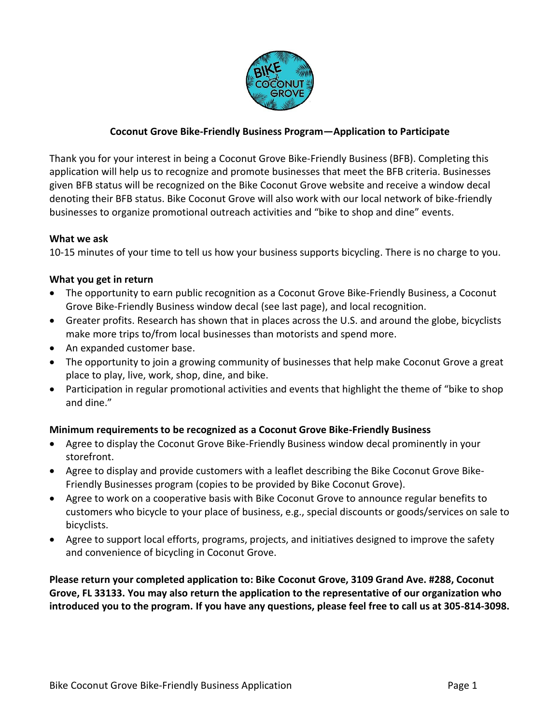

# **Coconut Grove Bike-Friendly Business Program—Application to Participate**

Thank you for your interest in being a Coconut Grove Bike-Friendly Business (BFB). Completing this application will help us to recognize and promote businesses that meet the BFB criteria. Businesses given BFB status will be recognized on the Bike Coconut Grove website and receive a window decal denoting their BFB status. Bike Coconut Grove will also work with our local network of bike-friendly businesses to organize promotional outreach activities and "bike to shop and dine" events.

### **What we ask**

10-15 minutes of your time to tell us how your business supports bicycling. There is no charge to you.

### **What you get in return**

- The opportunity to earn public recognition as a Coconut Grove Bike-Friendly Business, a Coconut Grove Bike-Friendly Business window decal (see last page), and local recognition.
- Greater profits. Research has shown that in places across the U.S. and around the globe, bicyclists make more trips to/from local businesses than motorists and spend more.
- An expanded customer base.
- The opportunity to join a growing community of businesses that help make Coconut Grove a great place to play, live, work, shop, dine, and bike.
- Participation in regular promotional activities and events that highlight the theme of "bike to shop and dine."

# **Minimum requirements to be recognized as a Coconut Grove Bike-Friendly Business**

- Agree to display the Coconut Grove Bike-Friendly Business window decal prominently in your storefront.
- Agree to display and provide customers with a leaflet describing the Bike Coconut Grove Bike-Friendly Businesses program (copies to be provided by Bike Coconut Grove).
- Agree to work on a cooperative basis with Bike Coconut Grove to announce regular benefits to customers who bicycle to your place of business, e.g., special discounts or goods/services on sale to bicyclists.
- Agree to support local efforts, programs, projects, and initiatives designed to improve the safety and convenience of bicycling in Coconut Grove.

**Please return your completed application to: Bike Coconut Grove, 3109 Grand Ave. #288, Coconut Grove, FL 33133. You may also return the application to the representative of our organization who introduced you to the program. If you have any questions, please feel free to call us at 305-814-3098.**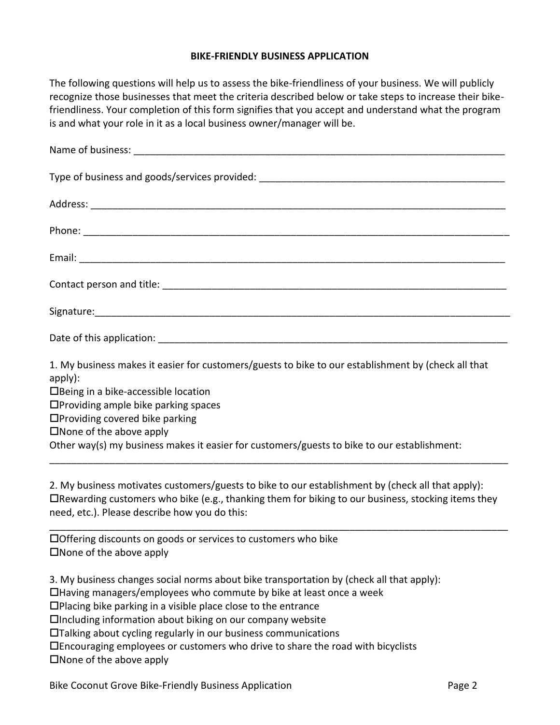### **BIKE-FRIENDLY BUSINESS APPLICATION**

The following questions will help us to assess the bike-friendliness of your business. We will publicly recognize those businesses that meet the criteria described below or take steps to increase their bikefriendliness. Your completion of this form signifies that you accept and understand what the program is and what your role in it as a local business owner/manager will be.

| 1. My business makes it easier for customers/guests to bike to our establishment by (check all that<br>apply):<br>$\Box$ Being in a bike-accessible location<br>□Providing ample bike parking spaces |
|------------------------------------------------------------------------------------------------------------------------------------------------------------------------------------------------------|

 $\Box$ Providing covered bike parking

 $\square$  None of the above apply

Other way(s) my business makes it easier for customers/guests to bike to our establishment:

2. My business motivates customers/guests to bike to our establishment by (check all that apply):  $\Box$ Rewarding customers who bike (e.g., thanking them for biking to our business, stocking items they need, etc.). Please describe how you do this:

\_\_\_\_\_\_\_\_\_\_\_\_\_\_\_\_\_\_\_\_\_\_\_\_\_\_\_\_\_\_\_\_\_\_\_\_\_\_\_\_\_\_\_\_\_\_\_\_\_\_\_\_\_\_\_\_\_\_\_\_\_\_\_\_\_\_\_\_\_\_\_\_\_\_\_\_\_\_\_\_\_\_\_\_

\_\_\_\_\_\_\_\_\_\_\_\_\_\_\_\_\_\_\_\_\_\_\_\_\_\_\_\_\_\_\_\_\_\_\_\_\_\_\_\_\_\_\_\_\_\_\_\_\_\_\_\_\_\_\_\_\_\_\_\_\_\_\_\_\_\_\_\_\_\_\_\_\_\_\_\_\_\_\_\_\_\_\_\_

Offering discounts on goods or services to customers who bike  $\square$  None of the above apply

3. My business changes social norms about bike transportation by (check all that apply):

Having managers/employees who commute by bike at least once a week

 $\Box$ Placing bike parking in a visible place close to the entrance

 $\Box$ Including information about biking on our company website

Talking about cycling regularly in our business communications

Encouraging employees or customers who drive to share the road with bicyclists

 $\square$  None of the above apply

Bike Coconut Grove Bike-Friendly Business Application **Page 2** 2